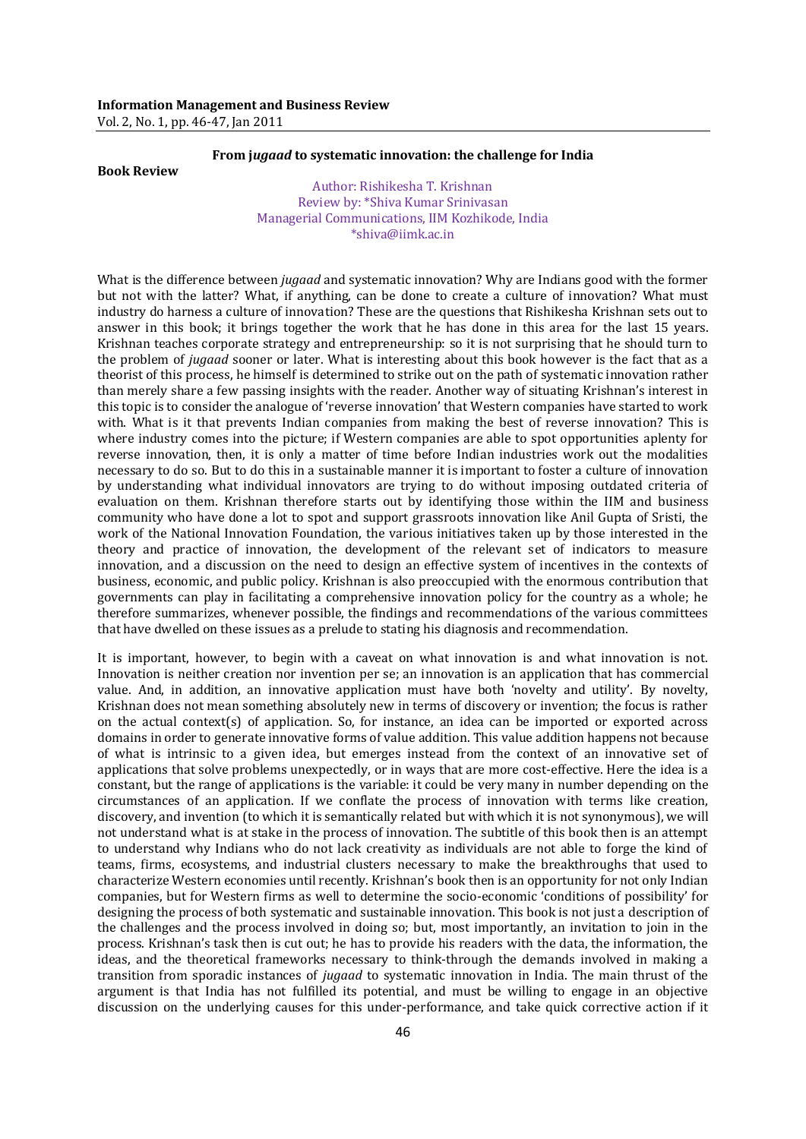## **From j***ugaad* **to systematic innovation: the challenge for India**

## **Book Review**

Author: Rishikesha T. Krishnan Review by: \*Shiva Kumar Srinivasan Managerial Communications, IIM Kozhikode, India \*shiva@iimk.ac.in

What is the difference between *jugaad* and systematic innovation? Why are Indians good with the former but not with the latter? What, if anything, can be done to create a culture of innovation? What must industry do harness a culture of innovation? These are the questions that Rishikesha Krishnan sets out to answer in this book; it brings together the work that he has done in this area for the last 15 years. Krishnan teaches corporate strategy and entrepreneurship: so it is not surprising that he should turn to the problem of *jugaad* sooner or later. What is interesting about this book however is the fact that as a theorist of this process, he himself is determined to strike out on the path of systematic innovation rather than merely share a few passing insights with the reader. Another way of situating Krishnan's interest in this topic is to consider the analogue of 'reverse innovation' that Western companies have started to work with. What is it that prevents Indian companies from making the best of reverse innovation? This is where industry comes into the picture; if Western companies are able to spot opportunities aplenty for reverse innovation, then, it is only a matter of time before Indian industries work out the modalities necessary to do so. But to do this in a sustainable manner it is important to foster a culture of innovation by understanding what individual innovators are trying to do without imposing outdated criteria of evaluation on them. Krishnan therefore starts out by identifying those within the IIM and business community who have done a lot to spot and support grassroots innovation like Anil Gupta of Sristi, the work of the National Innovation Foundation, the various initiatives taken up by those interested in the theory and practice of innovation, the development of the relevant set of indicators to measure innovation, and a discussion on the need to design an effective system of incentives in the contexts of business, economic, and public policy. Krishnan is also preoccupied with the enormous contribution that governments can play in facilitating a comprehensive innovation policy for the country as a whole; he therefore summarizes, whenever possible, the findings and recommendations of the various committees that have dwelled on these issues as a prelude to stating his diagnosis and recommendation.

It is important, however, to begin with a caveat on what innovation is and what innovation is not. Innovation is neither creation nor invention per se; an innovation is an application that has commercial value. And, in addition, an innovative application must have both 'novelty and utility'. By novelty, Krishnan does not mean something absolutely new in terms of discovery or invention; the focus is rather on the actual context(s) of application. So, for instance, an idea can be imported or exported across domains in order to generate innovative forms of value addition. This value addition happens not because of what is intrinsic to a given idea, but emerges instead from the context of an innovative set of applications that solve problems unexpectedly, or in ways that are more cost-effective. Here the idea is a constant, but the range of applications is the variable: it could be very many in number depending on the circumstances of an application. If we conflate the process of innovation with terms like creation, discovery, and invention (to which it is semantically related but with which it is not synonymous), we will not understand what is at stake in the process of innovation. The subtitle of this book then is an attempt to understand why Indians who do not lack creativity as individuals are not able to forge the kind of teams, firms, ecosystems, and industrial clusters necessary to make the breakthroughs that used to characterize Western economies until recently. Krishnan's book then is an opportunity for not only Indian companies, but for Western firms as well to determine the socio-economic 'conditions of possibility' for designing the process of both systematic and sustainable innovation. This book is not just a description of the challenges and the process involved in doing so; but, most importantly, an invitation to join in the process. Krishnan's task then is cut out; he has to provide his readers with the data, the information, the ideas, and the theoretical frameworks necessary to think-through the demands involved in making a transition from sporadic instances of *jugaad* to systematic innovation in India. The main thrust of the argument is that India has not fulfilled its potential, and must be willing to engage in an objective discussion on the underlying causes for this under-performance, and take quick corrective action if it